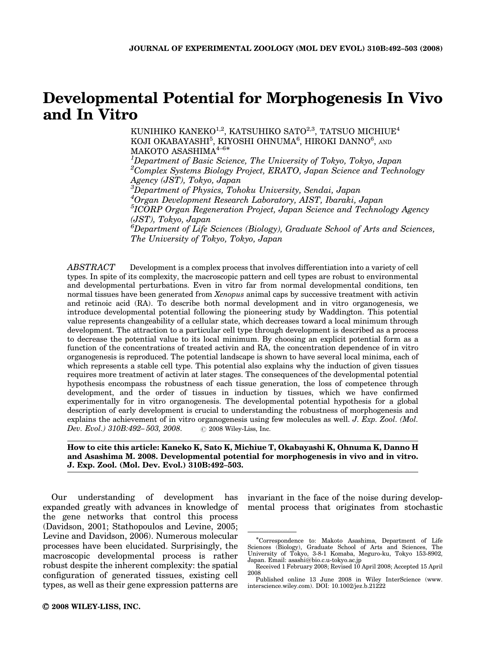# Developmental Potential for Morphogenesis In Vivo and In Vitro

KUNIHIKO KANEKO<sup>1,2</sup>, KATSUHIKO SATO<sup>2,3</sup>, TATSUO MICHIUE<sup>4</sup> KOJI OKABAYASHI $^5\!$ KIYOSHI OHNUMA $^6\!$ , HIROKI DANNO $^6\!$ , and MAKOTO ASASHIMA $4-6*$ 

 ${}^{1}$ Department of Basic Science, The University of Tokyo, Tokyo, Japan  $^{2}$ Complex Systems Biology Project, ERATO, Japan Science and Technology Agency (JST), Tokyo, Japan

 $^3$ Department of Physics, Tohoku University, Sendai, Japan 4 Organ Development Research Laboratory, AIST, Ibaraki, Japan 5 ICORP Organ Regeneration Project, Japan Science and Technology Agency (JST), Tokyo, Japan  ${}^6$ Department of Life Sciences (Biology), Graduate School of Arts and Sciences,

The University of Tokyo, Tokyo, Japan

ABSTRACT Development is a complex process that involves differentiation into a variety of cell types. In spite of its complexity, the macroscopic pattern and cell types are robust to environmental and developmental perturbations. Even in vitro far from normal developmental conditions, ten normal tissues have been generated from Xenopus animal caps by successive treatment with activin and retinoic acid (RA). To describe both normal development and in vitro organogenesis, we introduce developmental potential following the pioneering study by Waddington. This potential value represents changeability of a cellular state, which decreases toward a local minimum through development. The attraction to a particular cell type through development is described as a process to decrease the potential value to its local minimum. By choosing an explicit potential form as a function of the concentrations of treated activin and RA, the concentration dependence of in vitro organogenesis is reproduced. The potential landscape is shown to have several local minima, each of which represents a stable cell type. This potential also explains why the induction of given tissues requires more treatment of activin at later stages. The consequences of the developmental potential hypothesis encompass the robustness of each tissue generation, the loss of competence through development, and the order of tissues in induction by tissues, which we have confirmed experimentally for in vitro organogenesis. The developmental potential hypothesis for a global description of early development is crucial to understanding the robustness of morphogenesis and explains the achievement of in vitro organogenesis using few molecules as well. J. Exp. Zool. (Mol. Dev. Evol.)  $310B:492-503$ ,  $2008$ .  $\circ$  2008 Wiley-Liss, Inc.

### How to cite this article: Kaneko K, Sato K, Michiue T, Okabayashi K, Ohnuma K, Danno H and Asashima M. 2008. Developmental potential for morphogenesis in vivo and in vitro. J. Exp. Zool. (Mol. Dev. Evol.) 310B:492–503.

Our understanding of development has expanded greatly with advances in knowledge of the gene networks that control this process (Davidson, 2001; Stathopoulos and Levine, 2005; Levine and Davidson, 2006). Numerous molecular processes have been elucidated. Surprisingly, the macroscopic developmental process is rather robust despite the inherent complexity: the spatial configuration of generated tissues, existing cell types, as well as their gene expression patterns are

invariant in the face of the noise during developmental process that originates from stochastic

Correspondence to: Makoto Asashima, Department of Life Sciences (Biology), Graduate School of Arts and Sciences, The University of Tokyo, 3-8-1 Komaba, Meguro-ku, Tokyo 153-8902, Japan. Email: asashi@bio.c.u-tokyo.ac.jp

Received 1 February 2008; Revised 10 April 2008; Accepted 15 April 2008

Published online 13 June 2008 in Wiley InterScience (www. interscience.wiley.com). DOI: 10.1002/jez.b.21222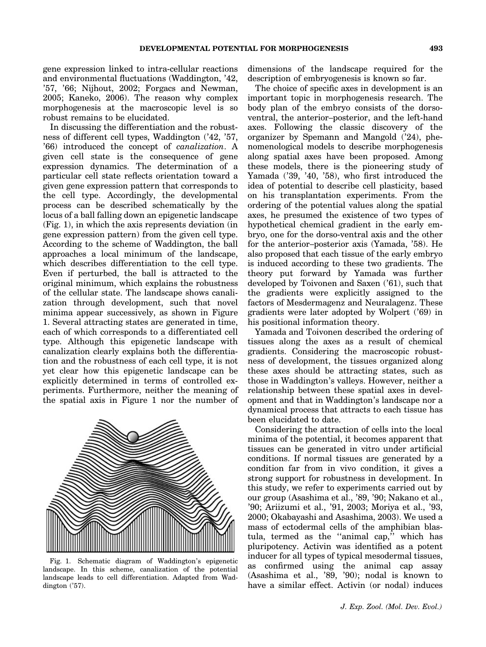gene expression linked to intra-cellular reactions and environmental fluctuations (Waddington, '42, '57, '66; Nijhout, 2002; Forgacs and Newman, 2005; Kaneko, 2006). The reason why complex morphogenesis at the macroscopic level is so robust remains to be elucidated.

In discussing the differentiation and the robustness of different cell types, Waddington ('42, '57, '66) introduced the concept of canalization. A given cell state is the consequence of gene expression dynamics. The determination of a particular cell state reflects orientation toward a given gene expression pattern that corresponds to the cell type. Accordingly, the developmental process can be described schematically by the locus of a ball falling down an epigenetic landscape (Fig. 1), in which the axis represents deviation (in gene expression pattern) from the given cell type. According to the scheme of Waddington, the ball approaches a local minimum of the landscape, which describes differentiation to the cell type. Even if perturbed, the ball is attracted to the original minimum, which explains the robustness of the cellular state. The landscape shows canalization through development, such that novel minima appear successively, as shown in Figure 1. Several attracting states are generated in time, each of which corresponds to a differentiated cell type. Although this epigenetic landscape with canalization clearly explains both the differentiation and the robustness of each cell type, it is not yet clear how this epigenetic landscape can be explicitly determined in terms of controlled experiments. Furthermore, neither the meaning of the spatial axis in Figure 1 nor the number of



Fig. 1. Schematic diagram of Waddington's epigenetic landscape. In this scheme, canalization of the potential landscape leads to cell differentiation. Adapted from Waddington ('57).

dimensions of the landscape required for the description of embryogenesis is known so far.

The choice of specific axes in development is an important topic in morphogenesis research. The body plan of the embryo consists of the dorsoventral, the anterior–posterior, and the left-hand axes. Following the classic discovery of the organizer by Spemann and Mangold ('24), phenomenological models to describe morphogenesis along spatial axes have been proposed. Among these models, there is the pioneering study of Yamada ('39, '40, '58), who first introduced the idea of potential to describe cell plasticity, based on his transplantation experiments. From the ordering of the potential values along the spatial axes, he presumed the existence of two types of hypothetical chemical gradient in the early embryo, one for the dorso-ventral axis and the other for the anterior–posterior axis (Yamada, '58). He also proposed that each tissue of the early embryo is induced according to these two gradients. The theory put forward by Yamada was further developed by Toivonen and Saxen ('61), such that the gradients were explicitly assigned to the factors of Mesdermagenz and Neuralagenz. These gradients were later adopted by Wolpert ('69) in his positional information theory.

Yamada and Toivonen described the ordering of tissues along the axes as a result of chemical gradients. Considering the macroscopic robustness of development, the tissues organized along these axes should be attracting states, such as those in Waddington's valleys. However, neither a relationship between these spatial axes in development and that in Waddington's landscape nor a dynamical process that attracts to each tissue has been elucidated to date.

Considering the attraction of cells into the local minima of the potential, it becomes apparent that tissues can be generated in vitro under artificial conditions. If normal tissues are generated by a condition far from in vivo condition, it gives a strong support for robustness in development. In this study, we refer to experiments carried out by our group (Asashima et al., '89, '90; Nakano et al., '90; Ariizumi et al., '91, 2003; Moriya et al., '93, 2000; Okabayashi and Asashima, 2003). We used a mass of ectodermal cells of the amphibian blastula, termed as the ''animal cap,'' which has pluripotency. Activin was identified as a potent inducer for all types of typical mesodermal tissues, as confirmed using the animal cap assay (Asashima et al., '89, '90); nodal is known to have a similar effect. Activin (or nodal) induces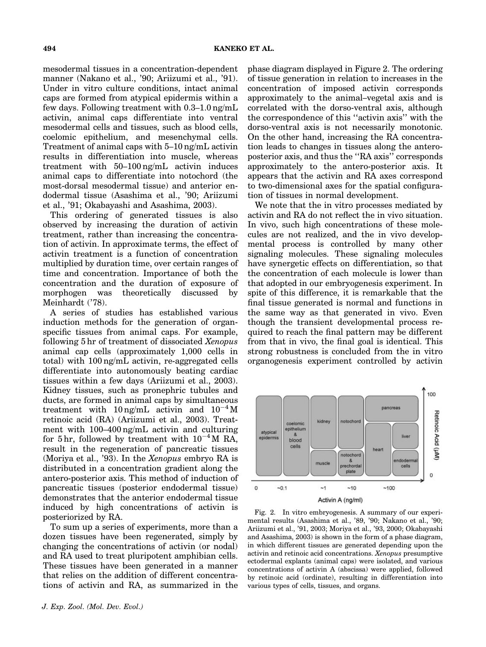mesodermal tissues in a concentration-dependent manner (Nakano et al., '90; Ariizumi et al., '91). Under in vitro culture conditions, intact animal caps are formed from atypical epidermis within a few days. Following treatment with 0.3–1.0 ng/mL activin, animal caps differentiate into ventral mesodermal cells and tissues, such as blood cells, coelomic epithelium, and mesenchymal cells. Treatment of animal caps with 5–10 ng/mL activin results in differentiation into muscle, whereas treatment with 50–100 ng/mL activin induces animal caps to differentiate into notochord (the most-dorsal mesodermal tissue) and anterior endodermal tissue (Asashima et al., '90; Ariizumi et al., '91; Okabayashi and Asashima, 2003).

This ordering of generated tissues is also observed by increasing the duration of activin treatment, rather than increasing the concentration of activin. In approximate terms, the effect of activin treatment is a function of concentration multiplied by duration time, over certain ranges of time and concentration. Importance of both the concentration and the duration of exposure of morphogen was theoretically discussed by Meinhardt ('78).

A series of studies has established various induction methods for the generation of organspecific tissues from animal caps. For example, following 5 hr of treatment of dissociated Xenopus animal cap cells (approximately 1,000 cells in total) with 100 ng/mL activin, re-aggregated cells differentiate into autonomously beating cardiac tissues within a few days (Ariizumi et al., 2003). Kidney tissues, such as pronephric tubules and ducts, are formed in animal caps by simultaneous treatment with 10 ng/mL activin and  $10^{-4}$  M retinoic acid (RA) (Ariizumi et al., 2003). Treatment with 100–400 ng/mL activin and culturing for 5 hr, followed by treatment with  $10^{-4}$  M RA, result in the regeneration of pancreatic tissues (Moriya et al., '93). In the Xenopus embryo RA is distributed in a concentration gradient along the antero-posterior axis. This method of induction of pancreatic tissues (posterior endodermal tissue) demonstrates that the anterior endodermal tissue induced by high concentrations of activin is posteriorized by RA.

To sum up a series of experiments, more than a dozen tissues have been regenerated, simply by changing the concentrations of activin (or nodal) and RA used to treat pluripotent amphibian cells. These tissues have been generated in a manner that relies on the addition of different concentrations of activin and RA, as summarized in the

phase diagram displayed in Figure 2. The ordering of tissue generation in relation to increases in the concentration of imposed activin corresponds approximately to the animal–vegetal axis and is correlated with the dorso-ventral axis, although the correspondence of this ''activin axis'' with the dorso-ventral axis is not necessarily monotonic. On the other hand, increasing the RA concentration leads to changes in tissues along the anteroposterior axis, and thus the ''RA axis'' corresponds approximately to the antero-posterior axis. It appears that the activin and RA axes correspond to two-dimensional axes for the spatial configuration of tissues in normal development.

We note that the in vitro processes mediated by activin and RA do not reflect the in vivo situation. In vivo, such high concentrations of these molecules are not realized, and the in vivo developmental process is controlled by many other signaling molecules. These signaling molecules have synergetic effects on differentiation, so that the concentration of each molecule is lower than that adopted in our embryogenesis experiment. In spite of this difference, it is remarkable that the final tissue generated is normal and functions in the same way as that generated in vivo. Even though the transient developmental process required to reach the final pattern may be different from that in vivo, the final goal is identical. This strong robustness is concluded from the in vitro organogenesis experiment controlled by activin



Fig. 2. In vitro embryogenesis. A summary of our experimental results (Asashima et al., '89, '90; Nakano et al., '90; Ariizumi et al., '91, 2003; Moriya et al., '93, 2000; Okabayashi and Asashima, 2003) is shown in the form of a phase diagram, in which different tissues are generated depending upon the activin and retinoic acid concentrations. Xenopus presumptive ectodermal explants (animal caps) were isolated, and various concentrations of activin A (abscissa) were applied, followed by retinoic acid (ordinate), resulting in differentiation into various types of cells, tissues, and organs.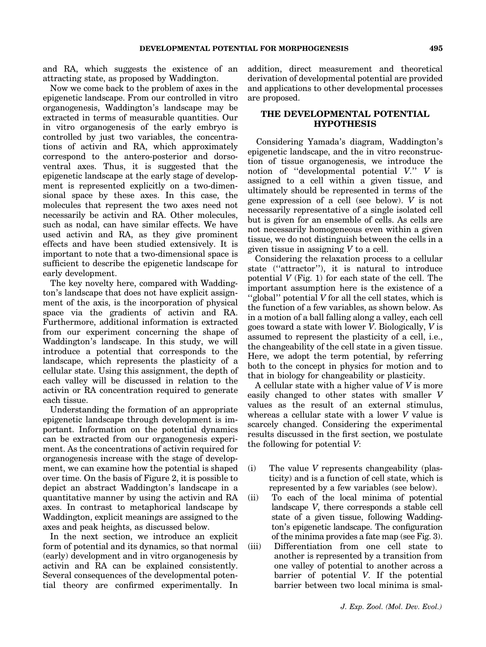and RA, which suggests the existence of an attracting state, as proposed by Waddington.

Now we come back to the problem of axes in the epigenetic landscape. From our controlled in vitro organogenesis, Waddington's landscape may be extracted in terms of measurable quantities. Our in vitro organogenesis of the early embryo is controlled by just two variables, the concentrations of activin and RA, which approximately correspond to the antero-posterior and dorsoventral axes. Thus, it is suggested that the epigenetic landscape at the early stage of development is represented explicitly on a two-dimensional space by these axes. In this case, the molecules that represent the two axes need not necessarily be activin and RA. Other molecules, such as nodal, can have similar effects. We have used activin and RA, as they give prominent effects and have been studied extensively. It is important to note that a two-dimensional space is sufficient to describe the epigenetic landscape for early development.

The key novelty here, compared with Waddington's landscape that does not have explicit assignment of the axis, is the incorporation of physical space via the gradients of activin and RA. Furthermore, additional information is extracted from our experiment concerning the shape of Waddington's landscape. In this study, we will introduce a potential that corresponds to the landscape, which represents the plasticity of a cellular state. Using this assignment, the depth of each valley will be discussed in relation to the activin or RA concentration required to generate each tissue.

Understanding the formation of an appropriate epigenetic landscape through development is important. Information on the potential dynamics can be extracted from our organogenesis experiment. As the concentrations of activin required for organogenesis increase with the stage of development, we can examine how the potential is shaped over time. On the basis of Figure 2, it is possible to depict an abstract Waddington's landscape in a quantitative manner by using the activin and RA axes. In contrast to metaphorical landscape by Waddington, explicit meanings are assigned to the axes and peak heights, as discussed below.

In the next section, we introduce an explicit form of potential and its dynamics, so that normal (early) development and in vitro organogenesis by activin and RA can be explained consistently. Several consequences of the developmental potential theory are confirmed experimentally. In

addition, direct measurement and theoretical derivation of developmental potential are provided and applications to other developmental processes are proposed.

# THE DEVELOPMENTAL POTENTIAL HYPOTHESIS

Considering Yamada's diagram, Waddington's epigenetic landscape, and the in vitro reconstruction of tissue organogenesis, we introduce the notion of ''developmental potential V.'' V is assigned to a cell within a given tissue, and ultimately should be represented in terms of the gene expression of a cell (see below). V is not necessarily representative of a single isolated cell but is given for an ensemble of cells. As cells are not necessarily homogeneous even within a given tissue, we do not distinguish between the cells in a given tissue in assigning V to a cell.

Considering the relaxation process to a cellular state (''attractor''), it is natural to introduce potential  $V$  (Fig. 1) for each state of the cell. The important assumption here is the existence of a ''global'' potential V for all the cell states, which is the function of a few variables, as shown below. As in a motion of a ball falling along a valley, each cell goes toward a state with lower V. Biologically, V is assumed to represent the plasticity of a cell, i.e., the changeability of the cell state in a given tissue. Here, we adopt the term potential, by referring both to the concept in physics for motion and to that in biology for changeability or plasticity.

A cellular state with a higher value of V is more easily changed to other states with smaller V values as the result of an external stimulus, whereas a cellular state with a lower V value is scarcely changed. Considering the experimental results discussed in the first section, we postulate the following for potential V:

- (i) The value V represents changeability (plasticity) and is a function of cell state, which is represented by a few variables (see below).
- (ii) To each of the local minima of potential landscape V, there corresponds a stable cell state of a given tissue, following Waddington's epigenetic landscape. The configuration of the minima provides a fate map (see Fig. 3). (iii) Differentiation from one cell state to another is represented by a transition from one valley of potential to another across a barrier of potential V. If the potential barrier between two local minima is smal-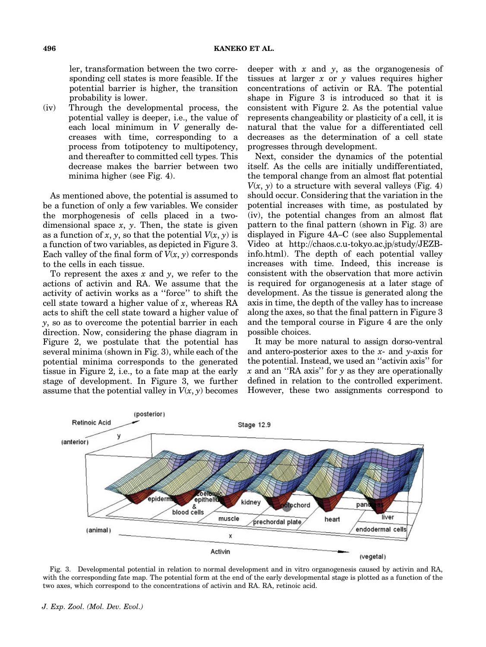ler, transformation between the two corresponding cell states is more feasible. If the potential barrier is higher, the transition probability is lower.

(iv) Through the developmental process, the potential valley is deeper, i.e., the value of each local minimum in V generally decreases with time, corresponding to a process from totipotency to multipotency, and thereafter to committed cell types. This decrease makes the barrier between two minima higher (see Fig. 4).

As mentioned above, the potential is assumed to be a function of only a few variables. We consider the morphogenesis of cells placed in a twodimensional space  $x$ ,  $y$ . Then, the state is given as a function of x, y, so that the potential  $V(x, y)$  is a function of two variables, as depicted in Figure 3. Each valley of the final form of  $V(x, y)$  corresponds to the cells in each tissue.

To represent the axes  $x$  and  $y$ , we refer to the actions of activin and RA. We assume that the activity of activin works as a ''force'' to shift the cell state toward a higher value of  $x$ , whereas RA acts to shift the cell state toward a higher value of  $y$ , so as to overcome the potential barrier in each direction. Now, considering the phase diagram in Figure 2, we postulate that the potential has several minima (shown in Fig. 3), while each of the potential minima corresponds to the generated tissue in Figure 2, i.e., to a fate map at the early stage of development. In Figure 3, we further assume that the potential valley in  $V(x, y)$  becomes

deeper with  $x$  and  $y$ , as the organogenesis of tissues at larger  $x$  or  $y$  values requires higher concentrations of activin or RA. The potential shape in Figure 3 is introduced so that it is consistent with Figure 2. As the potential value represents changeability or plasticity of a cell, it is natural that the value for a differentiated cell decreases as the determination of a cell state progresses through development.

Next, consider the dynamics of the potential itself. As the cells are initially undifferentiated, the temporal change from an almost flat potential  $V(x, y)$  to a structure with several valleys (Fig. 4) should occur. Considering that the variation in the potential increases with time, as postulated by (iv), the potential changes from an almost flat pattern to the final pattern (shown in Fig. 3) are displayed in Figure 4A–C (see also Supplemental Video at http://chaos.c.u-tokyo.ac.jp/study/JEZBinfo.html). The depth of each potential valley increases with time. Indeed, this increase is consistent with the observation that more activin is required for organogenesis at a later stage of development. As the tissue is generated along the axis in time, the depth of the valley has to increase along the axes, so that the final pattern in Figure 3 and the temporal course in Figure 4 are the only possible choices.

It may be more natural to assign dorso-ventral and antero-posterior axes to the  $x$ - and  $y$ -axis for the potential. Instead, we used an ''activin axis'' for  $x$  and an "RA axis" for  $y$  as they are operationally defined in relation to the controlled experiment. However, these two assignments correspond to



Fig. 3. Developmental potential in relation to normal development and in vitro organogenesis caused by activin and RA, with the corresponding fate map. The potential form at the end of the early developmental stage is plotted as a function of the two axes, which correspond to the concentrations of activin and RA. RA, retinoic acid.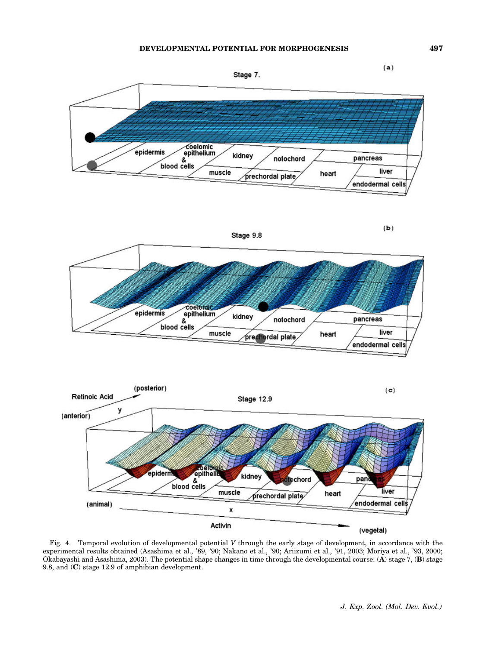

Fig. 4. Temporal evolution of developmental potential V through the early stage of development, in accordance with the experimental results obtained (Asashima et al., '89, '90; Nakano et al., '90; Ariizumi et al., '91, 2003; Moriya et al., '93, 2000; Okabayashi and Asashima, 2003). The potential shape changes in time through the developmental course: (A) stage 7, (B) stage 9.8, and (C) stage 12.9 of amphibian development.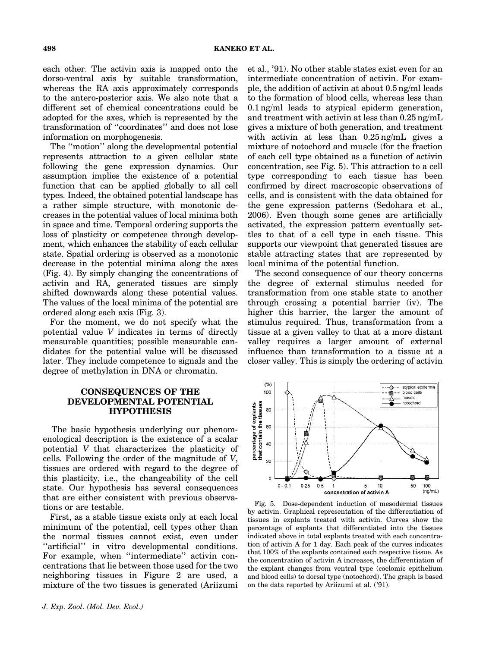each other. The activin axis is mapped onto the dorso-ventral axis by suitable transformation, whereas the RA axis approximately corresponds to the antero-posterior axis. We also note that a different set of chemical concentrations could be adopted for the axes, which is represented by the transformation of ''coordinates'' and does not lose information on morphogenesis.

The ''motion'' along the developmental potential represents attraction to a given cellular state following the gene expression dynamics. Our assumption implies the existence of a potential function that can be applied globally to all cell types. Indeed, the obtained potential landscape has a rather simple structure, with monotonic decreases in the potential values of local minima both in space and time. Temporal ordering supports the loss of plasticity or competence through development, which enhances the stability of each cellular state. Spatial ordering is observed as a monotonic decrease in the potential minima along the axes (Fig. 4). By simply changing the concentrations of activin and RA, generated tissues are simply shifted downwards along these potential values. The values of the local minima of the potential are ordered along each axis (Fig. 3).

For the moment, we do not specify what the potential value V indicates in terms of directly measurable quantities; possible measurable candidates for the potential value will be discussed later. They include competence to signals and the degree of methylation in DNA or chromatin.

# CONSEQUENCES OF THE DEVELOPMENTAL POTENTIAL HYPOTHESIS

The basic hypothesis underlying our phenomenological description is the existence of a scalar potential V that characterizes the plasticity of cells. Following the order of the magnitude of V, tissues are ordered with regard to the degree of this plasticity, i.e., the changeability of the cell state. Our hypothesis has several consequences that are either consistent with previous observations or are testable.

First, as a stable tissue exists only at each local minimum of the potential, cell types other than the normal tissues cannot exist, even under ''artificial'' in vitro developmental conditions. For example, when ''intermediate'' activin concentrations that lie between those used for the two neighboring tissues in Figure 2 are used, a mixture of the two tissues is generated (Ariizumi

J. Exp. Zool. (Mol. Dev. Evol.)

et al., '91). No other stable states exist even for an intermediate concentration of activin. For example, the addition of activin at about 0.5 ng/ml leads to the formation of blood cells, whereas less than 0.1 ng/ml leads to atypical epiderm generation, and treatment with activin at less than 0.25 ng/mL gives a mixture of both generation, and treatment with activin at less than  $0.25$  ng/mL gives a mixture of notochord and muscle (for the fraction of each cell type obtained as a function of activin concentration, see Fig. 5). This attraction to a cell type corresponding to each tissue has been confirmed by direct macroscopic observations of cells, and is consistent with the data obtained for the gene expression patterns (Sedohara et al., 2006). Even though some genes are artificially activated, the expression pattern eventually settles to that of a cell type in each tissue. This supports our viewpoint that generated tissues are stable attracting states that are represented by local minima of the potential function.

The second consequence of our theory concerns the degree of external stimulus needed for transformation from one stable state to another through crossing a potential barrier (iv). The higher this barrier, the larger the amount of stimulus required. Thus, transformation from a tissue at a given valley to that at a more distant valley requires a larger amount of external influence than transformation to a tissue at a closer valley. This is simply the ordering of activin



Fig. 5. Dose-dependent induction of mesodermal tissues by activin. Graphical representation of the differentiation of tissues in explants treated with activin. Curves show the percentage of explants that differentiated into the tissues indicated above in total explants treated with each concentration of activin A for 1 day. Each peak of the curves indicates that 100% of the explants contained each respective tissue. As the concentration of activin A increases, the differentiation of the explant changes from ventral type (coelomic epithelium and blood cells) to dorsal type (notochord). The graph is based on the data reported by Ariizumi et al. ('91).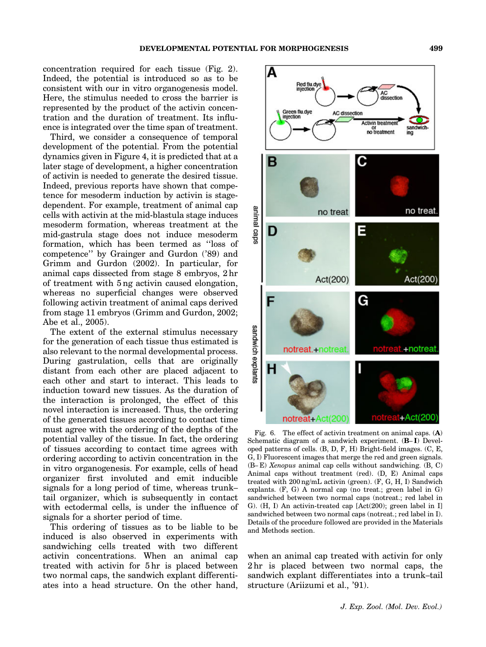concentration required for each tissue (Fig. 2). Indeed, the potential is introduced so as to be consistent with our in vitro organogenesis model. Here, the stimulus needed to cross the barrier is represented by the product of the activin concentration and the duration of treatment. Its influence is integrated over the time span of treatment.

Third, we consider a consequence of temporal development of the potential. From the potential dynamics given in Figure 4, it is predicted that at a later stage of development, a higher concentration of activin is needed to generate the desired tissue. Indeed, previous reports have shown that competence for mesoderm induction by activin is stagedependent. For example, treatment of animal cap cells with activin at the mid-blastula stage induces mesoderm formation, whereas treatment at the mid-gastrula stage does not induce mesoderm formation, which has been termed as ''loss of competence'' by Grainger and Gurdon ('89) and Grimm and Gurdon (2002). In particular, for animal caps dissected from stage 8 embryos, 2 hr of treatment with 5 ng activin caused elongation, whereas no superficial changes were observed following activin treatment of animal caps derived from stage 11 embryos (Grimm and Gurdon, 2002; Abe et al., 2005).

The extent of the external stimulus necessary for the generation of each tissue thus estimated is also relevant to the normal developmental process. During gastrulation, cells that are originally distant from each other are placed adjacent to each other and start to interact. This leads to induction toward new tissues. As the duration of the interaction is prolonged, the effect of this novel interaction is increased. Thus, the ordering of the generated tissues according to contact time must agree with the ordering of the depths of the potential valley of the tissue. In fact, the ordering of tissues according to contact time agrees with ordering according to activin concentration in the in vitro organogenesis. For example, cells of head organizer first involuted and emit inducible signals for a long period of time, whereas trunk– tail organizer, which is subsequently in contact with ectodermal cells, is under the influence of signals for a shorter period of time.

This ordering of tissues as to be liable to be induced is also observed in experiments with sandwiching cells treated with two different activin concentrations. When an animal cap treated with activin for 5 hr is placed between two normal caps, the sandwich explant differentiates into a head structure. On the other hand,



Fig. 6. The effect of activin treatment on animal caps. (A) Schematic diagram of a sandwich experiment. (B-I) Developed patterns of cells. (B, D, F, H) Bright-field images. (C, E, G, I) Fluorescent images that merge the red and green signals. (B– E) Xenopus animal cap cells without sandwiching. (B, C) Animal caps without treatment (red). (D, E) Animal caps treated with 200 ng/mL activin (green). (F, G, H, I) Sandwich explants. (F, G) A normal cap (no treat.; green label in G) sandwiched between two normal caps (notreat.; red label in G). (H, I) An activin-treated cap [Act(200); green label in I] sandwiched between two normal caps (notreat.; red label in I). Details of the procedure followed are provided in the Materials and Methods section.

when an animal cap treated with activin for only 2 hr is placed between two normal caps, the sandwich explant differentiates into a trunk–tail structure (Ariizumi et al., '91).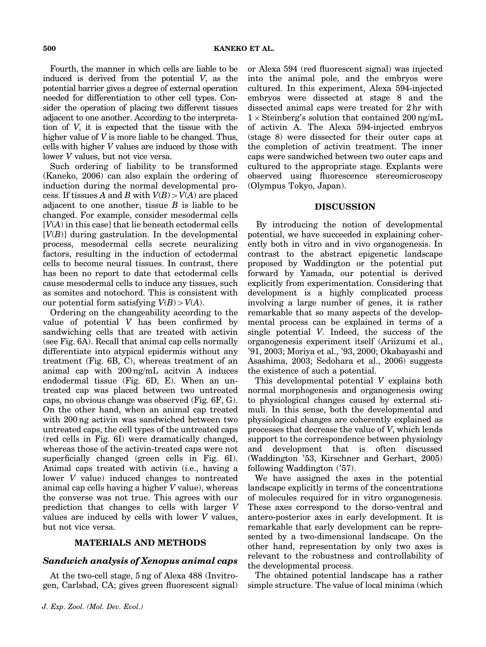Fourth, the manner in which cells are liable to be induced is derived from the potential V, as the potential barrier gives a degree of external operation needed for differentiation to other cell types. Consider the operation of placing two different tissues adjacent to one another. According to the interpretation of V, it is expected that the tissue with the higher value of V is more liable to be changed. Thus, cells with higher V values are induced by those with lower V values, but not vice versa.

Such ordering of liability to be transformed (Kaneko, 2006) can also explain the ordering of induction during the normal developmental process. If tissues A and B with  $V(B) > V(A)$  are placed adjacent to one another, tissue  $B$  is liable to be changed. For example, consider mesodermal cells  $[V(A)]$  in this case] that lie beneath ectodermal cells  $[V(B)]$  during gastrulation. In the developmental process, mesodermal cells secrete neuralizing factors, resulting in the induction of ectodermal cells to become neural tissues. In contrast, there has been no report to date that ectodermal cells cause mesodermal cells to induce any tissues, such as somites and notochord. This is consistent with our potential form satisfying  $V(B) > V(A)$ .

Ordering on the changeability according to the value of potential V has been confirmed by sandwiching cells that are treated with activin (see Fig. 6A). Recall that animal cap cells normally differentiate into atypical epidermis without any treatment (Fig. 6B, C), whereas treatment of an animal cap with 200 ng/mL acitvin A induces endodermal tissue (Fig. 6D, E). When an untreated cap was placed between two untreated caps, no obvious change was observed (Fig. 6F, G). On the other hand, when an animal cap treated with 200 ng activin was sandwiched between two untreated caps, the cell types of the untreated caps (red cells in Fig. 6I) were dramatically changed, whereas those of the activin-treated caps were not superficially changed (green cells in Fig. 6I). Animal caps treated with activin (i.e., having a lower V value) induced changes to nontreated animal cap cells having a higher V value), whereas the converse was not true. This agrees with our prediction that changes to cells with larger V values are induced by cells with lower V values, but not vice versa.

#### MATERIALS AND METHODS

## Sandwich analysis of Xenopus animal caps

At the two-cell stage, 5 ng of Alexa 488 (Invitrogen, Carlsbad, CA; gives green fluorescent signal)

J. Exp. Zool. (Mol. Dev. Evol.)

or Alexa 594 (red fluorescent signal) was injected into the animal pole, and the embryos were cultured. In this experiment, Alexa 594-injected embryos were dissected at stage 8 and the dissected animal caps were treated for 2 hr with  $1 \times$  Steinberg's solution that contained 200 ng/mL of activin A. The Alexa 594-injected embryos (stage 8) were dissected for their outer caps at the completion of activin treatment. The inner caps were sandwiched between two outer caps and cultured to the appropriate stage. Explants were observed using fluorescence stereomicroscopy (Olympus Tokyo, Japan).

#### DISCUSSION

By introducing the notion of developmental potential, we have succeeded in explaining coherently both in vitro and in vivo organogenesis. In contrast to the abstract epigenetic landscape proposed by Waddington or the potential put forward by Yamada, our potential is derived explicitly from experimentation. Considering that development is a highly complicated process involving a large number of genes, it is rather remarkable that so many aspects of the developmental process can be explained in terms of a single potential V. Indeed, the success of the organogenesis experiment itself (Ariizumi et al., '91, 2003; Moriya et al., '93, 2000; Okabayashi and Asashima, 2003; Sedohara et al., 2006) suggests the existence of such a potential.

This developmental potential V explains both normal morphogenesis and organogenesis owing to physiological changes caused by external stimuli. In this sense, both the developmental and physiological changes are coherently explained as processes that decrease the value of V, which lends support to the correspondence between physiology and development that is often discussed (Waddington '53, Kirschner and Gerhart, 2005) following Waddington ('57).

We have assigned the axes in the potential landscape explicitly in terms of the concentrations of molecules required for in vitro organogenesis. These axes correspond to the dorso-ventral and antero-posterior axes in early development. It is remarkable that early development can be represented by a two-dimensional landscape. On the other hand, representation by only two axes is relevant to the robustness and controllability of the developmental process.

The obtained potential landscape has a rather simple structure. The value of local minima (which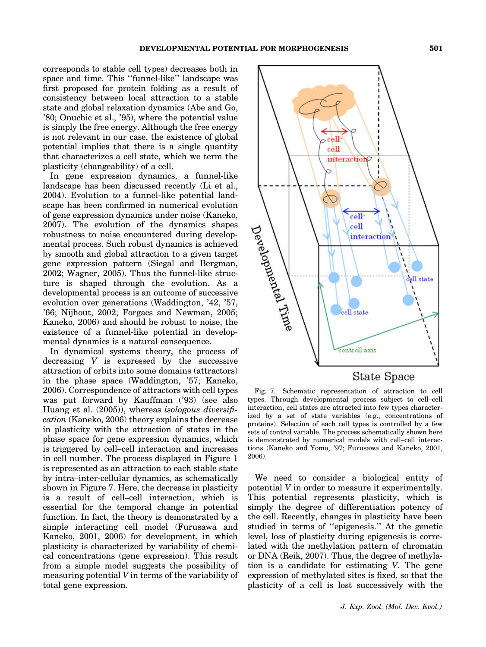corresponds to stable cell types) decreases both in space and time. This ''funnel-like'' landscape was first proposed for protein folding as a result of consistency between local attraction to a stable state and global relaxation dynamics (Abe and Go, '80; Onuchic et al., '95), where the potential value is simply the free energy. Although the free energy is not relevant in our case, the existence of global potential implies that there is a single quantity that characterizes a cell state, which we term the plasticity (changeability) of a cell.

In gene expression dynamics, a funnel-like landscape has been discussed recently (Li et al., 2004). Evolution to a funnel-like potential landscape has been confirmed in numerical evolution of gene expression dynamics under noise (Kaneko, 2007). The evolution of the dynamics shapes robustness to noise encountered during developmental process. Such robust dynamics is achieved by smooth and global attraction to a given target gene expression pattern (Siegal and Bergman, 2002; Wagner, 2005). Thus the funnel-like structure is shaped through the evolution. As a developmental process is an outcome of successive evolution over generations (Waddington, '42, '57, '66; Nijhout, 2002; Forgacs and Newman, 2005; Kaneko, 2006) and should be robust to noise, the existence of a funnel-like potential in developmental dynamics is a natural consequence.

In dynamical systems theory, the process of decreasing V is expressed by the successive attraction of orbits into some domains (attractors) in the phase space (Waddington, '57; Kaneko, 2006). Correspondence of attractors with cell types was put forward by Kauffman ('93) (see also Huang et al. (2005)), whereas *isologous diversifi*cation (Kaneko, 2006) theory explains the decrease in plasticity with the attraction of states in the phase space for gene expression dynamics, which is triggered by cell–cell interaction and increases in cell number. The process displayed in Figure 1 is represented as an attraction to each stable state by intra–inter-cellular dynamics, as schematically shown in Figure 7. Here, the decrease in plasticity is a result of cell–cell interaction, which is essential for the temporal change in potential function. In fact, the theory is demonstrated by a simple interacting cell model (Furusawa and Kaneko, 2001, 2006) for development, in which plasticity is characterized by variability of chemical concentrations (gene expression). This result from a simple model suggests the possibility of measuring potential V in terms of the variability of total gene expression.



**State Space** 

Fig. 7. Schematic representation of attraction to cell types. Through developmental process subject to cell–cell interaction, cell states are attracted into few types characterized by a set of state variables (e.g., concentrations of proteins). Selection of each cell types is controlled by a few sets of control variable. The process schematically shown here is demonstrated by numerical models with cell–cell interactions (Kaneko and Yomo, '97; Furusawa and Kaneko, 2001, 2006).

We need to consider a biological entity of potential V in order to measure it experimentally. This potential represents plasticity, which is simply the degree of differentiation potency of the cell. Recently, changes in plasticity have been studied in terms of ''epigenesis.'' At the genetic level, loss of plasticity during epigenesis is correlated with the methylation pattern of chromatin or DNA (Reik, 2007). Thus, the degree of methylation is a candidate for estimating V. The gene expression of methylated sites is fixed, so that the plasticity of a cell is lost successively with the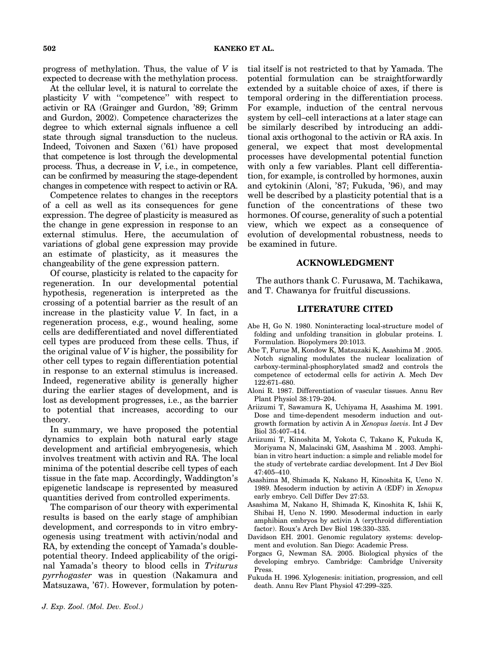progress of methylation. Thus, the value of V is expected to decrease with the methylation process.

At the cellular level, it is natural to correlate the plasticity V with ''competence'' with respect to activin or RA (Grainger and Gurdon, '89; Grimm and Gurdon, 2002). Competence characterizes the degree to which external signals influence a cell state through signal transduction to the nucleus. Indeed, Toivonen and Saxen ('61) have proposed that competence is lost through the developmental process. Thus, a decrease in V, i.e., in competence, can be confirmed by measuring the stage-dependent changes in competence with respect to activin or RA.

Competence relates to changes in the receptors of a cell as well as its consequences for gene expression. The degree of plasticity is measured as the change in gene expression in response to an external stimulus. Here, the accumulation of variations of global gene expression may provide an estimate of plasticity, as it measures the changeability of the gene expression pattern.

Of course, plasticity is related to the capacity for regeneration. In our developmental potential hypothesis, regeneration is interpreted as the crossing of a potential barrier as the result of an increase in the plasticity value V. In fact, in a regeneration process, e.g., wound healing, some cells are dedifferentiated and novel differentiated cell types are produced from these cells. Thus, if the original value of  $V$  is higher, the possibility for other cell types to regain differentiation potential in response to an external stimulus is increased. Indeed, regenerative ability is generally higher during the earlier stages of development, and is lost as development progresses, i.e., as the barrier to potential that increases, according to our theory.

In summary, we have proposed the potential dynamics to explain both natural early stage development and artificial embryogenesis, which involves treatment with activin and RA. The local minima of the potential describe cell types of each tissue in the fate map. Accordingly, Waddington's epigenetic landscape is represented by measured quantities derived from controlled experiments.

The comparison of our theory with experimental results is based on the early stage of amphibian development, and corresponds to in vitro embryogenesis using treatment with activin/nodal and RA, by extending the concept of Yamada's doublepotential theory. Indeed applicability of the original Yamada's theory to blood cells in Triturus pyrrhogaster was in question (Nakamura and Matsuzawa, '67). However, formulation by potential itself is not restricted to that by Yamada. The potential formulation can be straightforwardly extended by a suitable choice of axes, if there is temporal ordering in the differentiation process. For example, induction of the central nervous system by cell–cell interactions at a later stage can be similarly described by introducing an additional axis orthogonal to the activin or RA axis. In general, we expect that most developmental processes have developmental potential function with only a few variables. Plant cell differentiation, for example, is controlled by hormones, auxin and cytokinin (Aloni, '87; Fukuda, '96), and may well be described by a plasticity potential that is a function of the concentrations of these two hormones. Of course, generality of such a potential view, which we expect as a consequence of evolution of developmental robustness, needs to be examined in future.

#### ACKNOWLEDGMENT

The authors thank C. Furusawa, M. Tachikawa, and T. Chawanya for fruitful discussions.

## LITERATURE CITED

- Abe H, Go N. 1980. Noninteracting local-structure model of folding and unfolding transition in globular proteins. I. Formulation. Biopolymers 20:1013.
- Abe T, Furue M, Kondow K, Matsuzaki K, Asashima M . 2005. Notch signaling modulates the nuclear localization of carboxy-terminal-phosphorylated smad2 and controls the competence of ectodermal cells for activin A. Mech Dev 122:671–680.
- Aloni R. 1987. Differentiation of vascular tissues. Annu Rev Plant Physiol 38:179–204.
- Ariizumi T, Sawamura K, Uchiyama H, Asashima M. 1991. Dose and time-dependent mesoderm induction and outgrowth formation by activin A in Xenopus laevis. Int J Dev Biol 35:407–414.
- Ariizumi T, Kinoshita M, Yokota C, Takano K, Fukuda K, Moriyama N, Malacinski GM, Asashima M . 2003. Amphibian in vitro heart induction: a simple and reliable model for the study of vertebrate cardiac development. Int J Dev Biol 47:405–410.
- Asashima M, Shimada K, Nakano H, Kinoshita K, Ueno N. 1989. Mesoderm induction by activin A (EDF) in Xenopus early embryo. Cell Differ Dev 27:53.
- Asashima M, Nakano H, Shimada K, Kinoshita K, Ishii K, Shibai H, Ueno N. 1990. Mesodermal induction in early amphibian embryos by activin A (erythroid differentiation factor). Roux's Arch Dev Biol 198:330–335.
- Davidson EH. 2001. Genomic regulatory systems: development and evolution. San Diego: Academic Press.
- Forgacs G, Newman SA. 2005. Biological physics of the developing embryo. Cambridge: Cambridge University Press.
- Fukuda H. 1996. Xylogenesis: initiation, progression, and cell death. Annu Rev Plant Physiol 47:299–325.